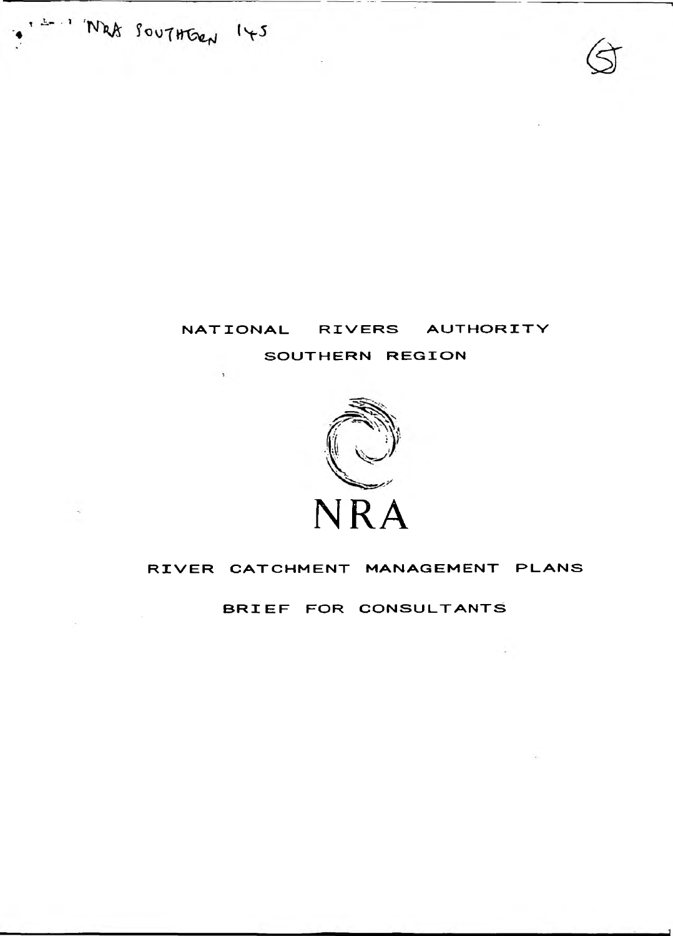I - "West Southben 145

 $\sim 100$ 

 $\sim$  10  $\sim$ 



# SOUTHERN REGION



# RIVER CATCHMENT MANAGEMENT PLANS

BRIEF FOR CONSULTANTS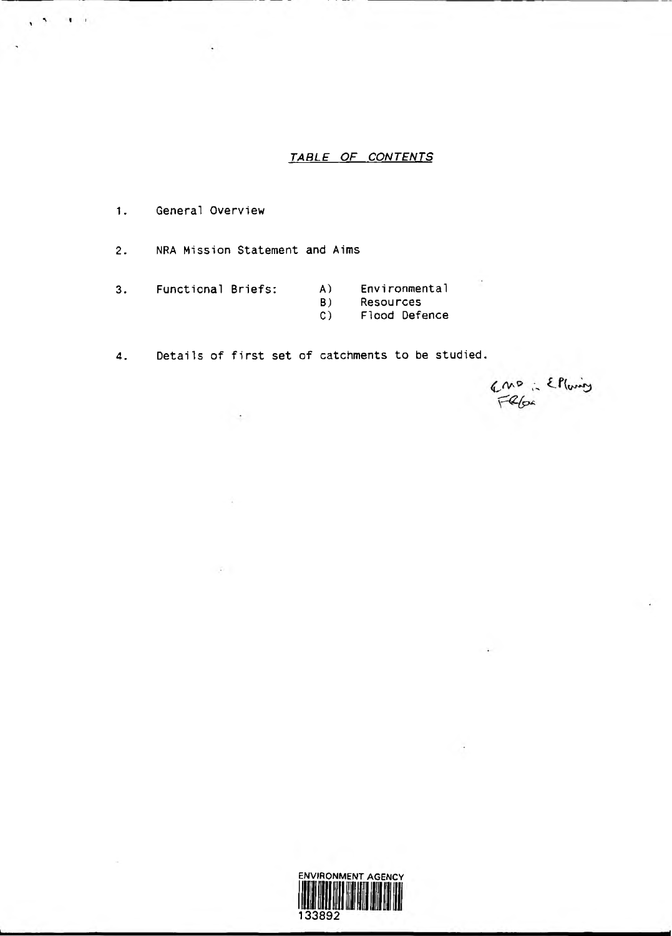## *TABLE OF CONTENTS*

1. General Overview

 $\ddot{\phantom{1}}$ 

 $\mathbf{H}=\mathbf{F}$ 

2. NRA Mission Statement and Aims

 $\sim$   $\sim$ 

 $\sim$   $2$ 

 $\sim$  0.11

- 3. Functional Briefs: A) Environmental<br>B) Resources
	-
	- B) Resources<br>C) Flood Defe
	- Flood Defence

amo : Elloing

4. Details of first set of catchments to be studied.

ENVIRONMENT AGENCY 133892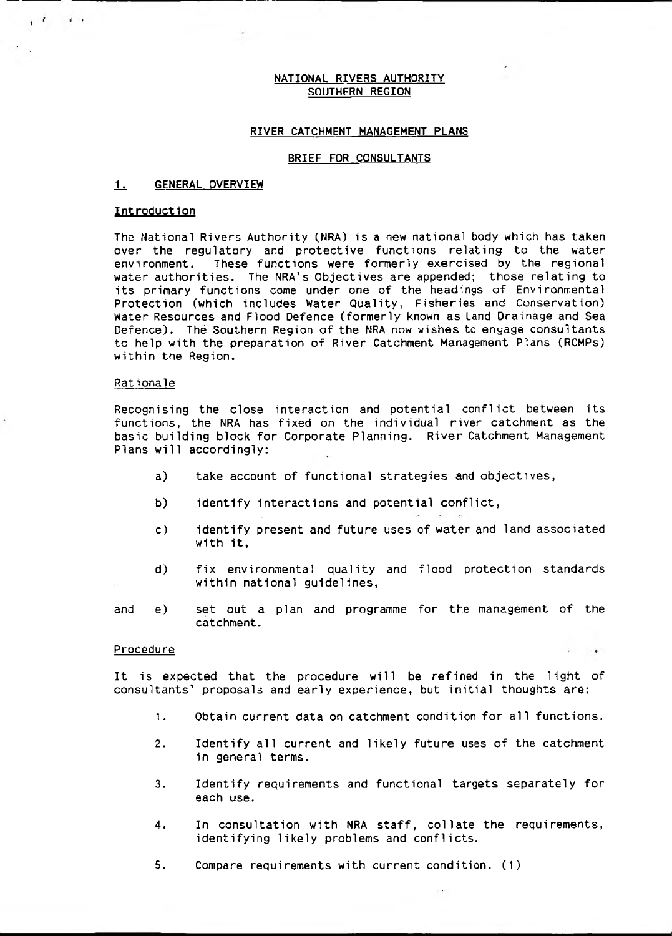### NATIONAL RIVERS AUTHORITY SOUTHERN REGION

### RIVER CATCHMENT MANAGEMENT PLANS

### BRIEF FOR CONSULTANTS

### 1. GENERAL OVERVIEW

#### **Introduction**

 $\mathbf{1}$   $\mathbf{1}$   $\mathbf{1}$   $\mathbf{1}$ 

The National Rivers Authority (NRA) is a new national body which has taken over the regulatory and protective functions relating to the water environment. These functions were formerly exercised by the regional water authorities. The NRA's Objectives are appended; those relating to its primary functions come under one of the headings of Environmental Protection (which includes Water Quality, Fisheries and Conservation) Water Resources and Flood Defence (formerly known as Land Drainage and Sea Defence). The Southern Region of the NRA now wishes to engage consultants to help with the preparation of River Catchment Management Plans (RCMPs) within the Region.

#### Rationale

Recognising the close interaction and potential conflict between its functions, the NRA has fixed on the individual river catchment as the basic building block for Corporate Planning. River Catchment Management Plans will accordingly:

- a) take account of functional strategies and objectives,
- b) identify interactions and potential conflict,
- c) identify present and future uses of water and land associated with it,
- d) fix environmental quality and flood protection standards within national guidelines,
- and e) set out a plan and programme for the management of the catchment.

#### **Procedure**

It is expected that the procedure will be refined in the light of consultants' proposals and early experience, but initial thoughts are:

1. Obtain current data on catchment condition for all functions.

 $\ddot{ }$ 

- 2. Identify all current and likely future uses of the catchment in general terms.
- 3. Identify requirements and functional targets separately for each use.
- 4. In consultation with NRA staff, collate the requirements, identifying likely problems and conflicts.
- 5. Compare requirements with current condition. (1)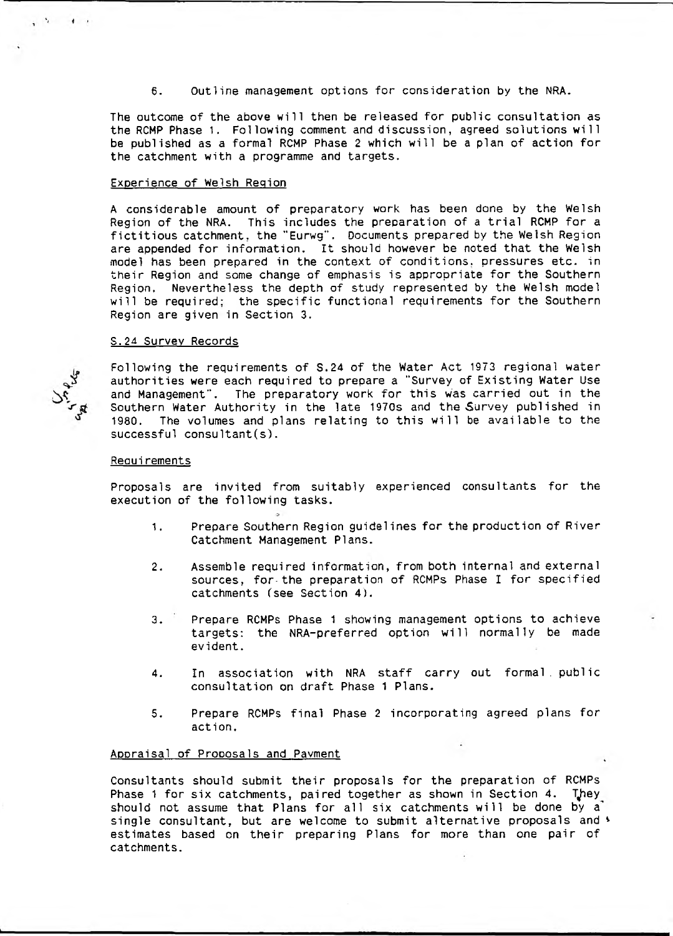6. Outline management options for consideration by the NRA.

The outcome of the above will then be released for public consultation as the RCMP Phase 1. Following comment and discussion, agreed solutions will be published as a formal RCMP Phase 2 which will be a plan of action for the catchment with a programme and targets.

### Experience of Welsh Region

A considerable amount of preparatory work has been done by the Welsh Region of the NRA. This includes the preparation of a trial RCMP for a fictitious catchment, the "Eurwg". Documents prepared by the Welsh Region are appended for information. It should however be noted that the Welsh model has been prepared in the context of conditions, pressures etc. in their Region and some change of emphasis is appropriate for the Southern Region. Nevertheless the depth of study represented by the Welsh model will be required: the specific functional requirements for the Southern Region are given in Section 3.

#### S.24 Survey Records

 $\mathcal{N}$  and  $\mathcal{N}$ 

Following the requirements of S.24 of the Water Act 1973 regional water authorities were each required to prepare a "Survey of Existing Water Use and Management". The preparatory work for this was carried out in the Southern Water Authority in the late 1970s and the Survey published in<br>1980. The volumes and plans relating to this will be available to the The volumes and plans relating to this will be available to the successful consultant(s).

### **Requirements**

Proposals are invited from suitably experienced consultants for the execution of the following tasks.

- 1. Prepare Southern Region guidelines for the production of River Catchment Management Plans.
- 2. Assemble required information, from both internal and external sources, for-the preparation of RCMPs Phase I for specified catchments (see Section 4).
- 3. Prepare RCMPs Phase 1 showing management options to achieve targets: the NRA-preferred option will normally be made evident.
- 4. In association with NRA staff carry out formal, public consultation on draft Phase 1 Plans.
- 5. Prepare RCMPs final Phase 2 incorporating agreed plans for action.

### Appraisal of Proposals and Payment

Consultants should submit their proposals for the preparation of RCMPs Phase 1 for six catchments, paired together as shown in Section 4. They should not assume that Plans for all six catchments will be done by a' single consultant, but are welcome to submit alternative proposals and  $\ast$ estimates based on their preparing Plans for more than one pair of catchments.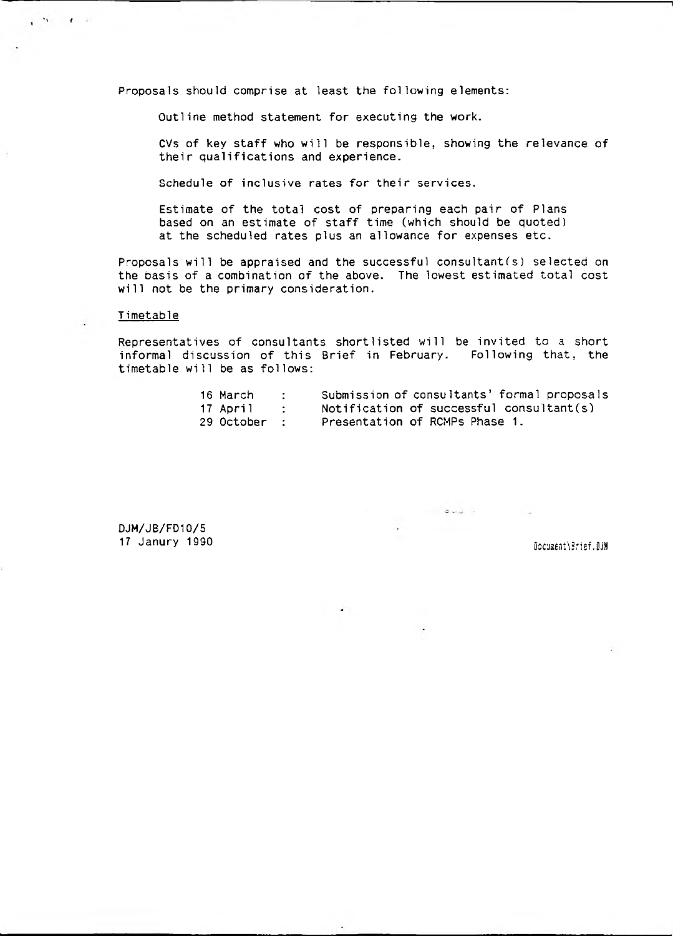Proposals should comprise at least the following elements:

Outline method statement for executing the work.

CVs of key staff who will be responsible, showing the relevance of their qualifications and experience.

Schedule of inclusive rates for their services.

Estimate of the total cost of preparing each pair of Plans based on an estimate of staff time (which should be quoted) at the scheduled rates plus an allowance for expenses etc.

Proposals will be appraised and the successful consultant(s) selected on the basis of a combination of the above. The lowest estimated total cost will not be the primary consideration.

### T imetable

 $\cdot$ 

 $\mathbf{f}$ 

Representatives of consultants shortlisted will be invited to a short informal discussion of this Brief in February. Following that, the timetable will be as follows:

| 16 March     | $\sim$ 2000 $\sim$ | Submission of consultants' formal proposals |
|--------------|--------------------|---------------------------------------------|
| 17 April     | $\sim$ 1.000 $\pm$ | Notification of successful consultant(s)    |
| 29 October : |                    | Presentation of RCMPs Phase 1.              |

DJH/JB/FD10/5 17 Janury 1990 OocuaentXSrief .DJH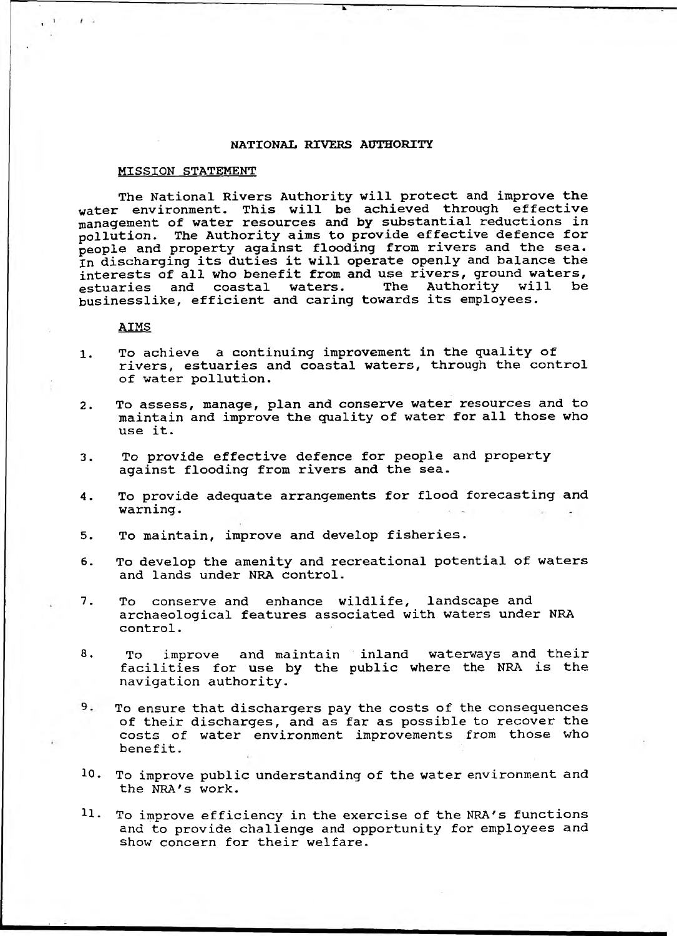### **NATIONAL RIVERS AUTHORITY**

### MISSION STATEMENT

The National Rivers Authority will protect and improve the water environment. This will be achieved through effective management of water resources and by substantial reductions in pollution. The Authority aims to provide effective defence for people and property against flooding from rivers and the sea. In discharging its duties it will operate openly and balance the interests of all who benefit from and use rivers, ground waters,<br>estuaries and coastal waters. The Authority will be estuaries and coastal waters. The Authority will be businesslike, efficient and caring towards its employees.

### AIMS

 $\leftarrow$ 

- **1** . To achieve a continuing improvement in the quality of rivers, estuaries and coastal waters, through the control of water pollution.
- 2. To assess, manage, plan and conserve water resources and to maintain and improve the quality of water for all those who use it.
- 3. To provide effective defence for people and property against flooding from rivers and the sea.
- 4. To provide adequate arrangements for flood forecasting and warning.
- 5. To maintain, improve and develop fisheries.
- 6. To develop the amenity and recreational potential of waters and lands under NRA control.
- 7. To conserve and enhance wildlife, landscape and archaeological features associated with waters under NRA control.
- 8. To improve and maintain inland waterways and their facilities for use by the public where the NRA is the navigation authority.
- 9. To ensure that dischargers pay the costs of the consequences of their discharges, and as far as possible to recover the costs of water environment improvements from those who benefit.
- 10. To improve public understanding of the water environment and the NRA's work.
- 11. To improve efficiency in the exercise of the NRA's functions and to provide challenge and opportunity for employees and show concern for their welfare.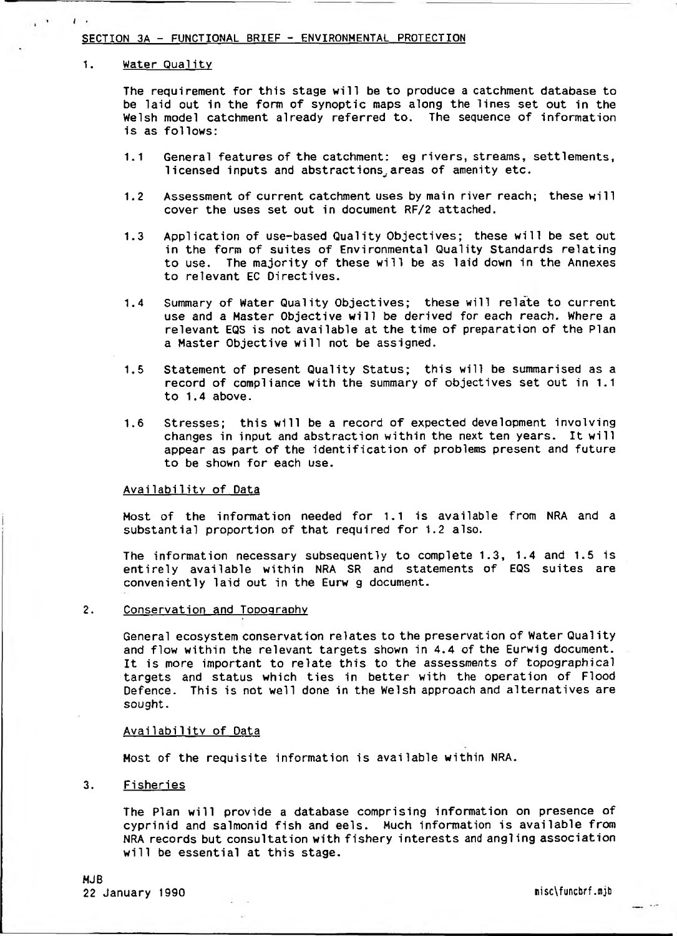### SECTION 3A - FUNCTIONAL BRIEF - ENVIRONMENTAL PROTECTION

#### 1. Water Qualitv

 $\cdot$ 

The requirement for this stage will be to produce a catchment database to be laid out in the form of synoptic maps along the lines set out in the Welsh model catchment already referred to. The sequence of information is as follows:

- 1.1 General features of the catchment: eg rivers, streams, settlements, licensed inputs and abstractions, areas of amenity etc.
- 1.2 Assessment of current catchment uses by main river reach; these will cover the uses set out in document RF/2 attached.
- 1.3 Application of use-based Quality Objectives; these will be set out in the form of suites of Environmental Quality Standards relating to use. The majority of these will be as laid down in the Annexes to relevant EC Directives.
- 1.4 Summary of Water Quality Objectives; these will relate to current use and a Master Objective will be derived for each reach. Where a relevant EQS is not available at the time of preparation of the Plan a Master Objective will not be assigned.
- 1.5 Statement of present Quality Status; this will be summarised as a record of compliance with the summary of objectives set out in 1.1 to 1.4 above.
- 1.6 Stresses; this will be a record of expected development involving changes in input and abstraction within the next ten years. It will appear as part of the identification of problems present and future to be shown for each use.

### Availability of Data

Most of the information needed for 1.1 is available from NRA and a substantial proportion of that required for 1.2 also.

The information necessary subsequently to complete 1.3, 1.4 and 1.5 is entirely available within NRA SR and statements of EQS suites are conveniently laid out in the Eurw g document.

2. Conservation and Topography

General ecosystem conservation relates to the preservation of Water Quality and flow within the relevant targets shown in 4.4 of the Eurwig document. It is more important to relate this to the assessments of topographical targets and status which ties in better with the operation of Flood Defence. This is not well done in the Welsh approach and alternatives are sought.

### Availability of Data

Most of the requisite information is available within NRA.

3. Fisheries

The Plan will provide a database comprising information on presence of cyprinid and salmonid fish and eels. Much information is available from NRA records but consultation with fishery interests and angling association will be essential at this stage.

MJB 22 January 1990 **ni school and the set of the set of the set of the set of the set of the set of the set of the set of the set of the set of the set of the set of the set of the set of the set of the set of the set of the**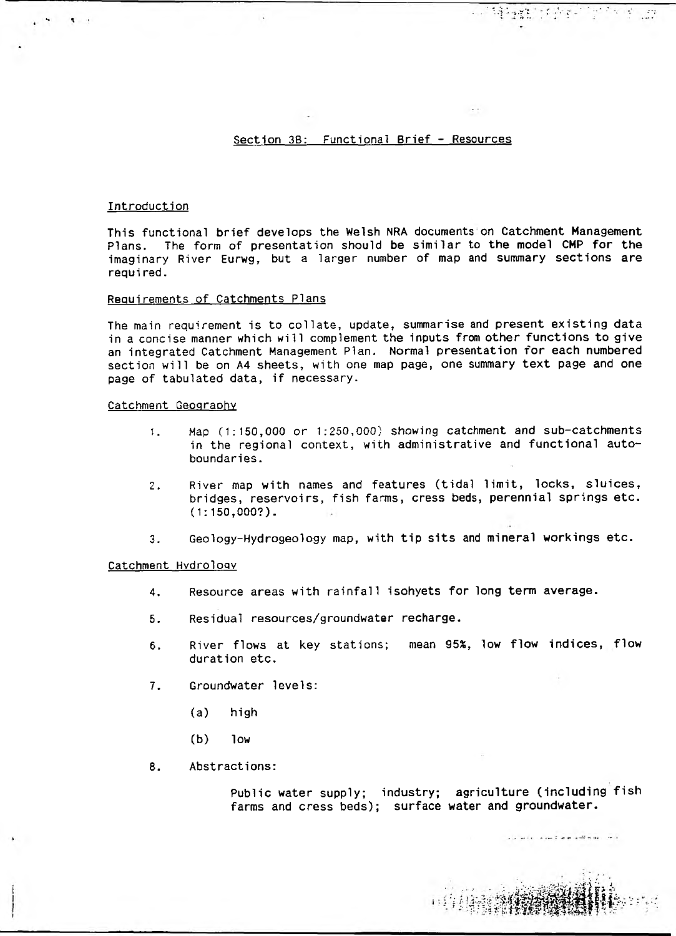### Section 3B: Functional Brief - Resources

### Introduction

This functional brief develops the Welsh NRA documents on Catchment Management Plans. The form of presentation should be similar to the model CMP for the imaginary River Eurwg, but a larger number of map and summary sections are requi red.

#### Requirements of Catchments Plans

The main requirement is to collate, update, summarise and present existing data in a concise manner which will complement the inputs from other functions to give an integrated Catchment Management Plan. Normal presentation for each numbered section will be on A4 sheets, with one map page, one summary text page and one page of tabulated data, if necessary.

### Catchment Geography

- 1. Hap (1:150,000 or 1:250,000) showing catchment and sub-catchments in the regional context, with administrative and functional autoboundaries.
- 2. River map with names and features (tidal limit, locks, sluices, bridges, reservoirs, fish farms, cress beds, perennial springs etc. (1:150,000?).
- 3. Geology-Hydrogeology map, with tip sits and mineral workings etc.

### Catchment Hydrology

- 4. Resource areas with rainfall isohyets for long term average.
- 5. Residual resources/groundwater recharge.
- 6. River flows at key stations; mean 95%, low flow indices, flow duration etc.
- 7. Groundwater levels:
	- (a) high
	- (b) low
- 8. Abstractions:

Public water supply; industry; agriculture (including fish farms and cress beds); surface water and groundwater.

all will superint and address that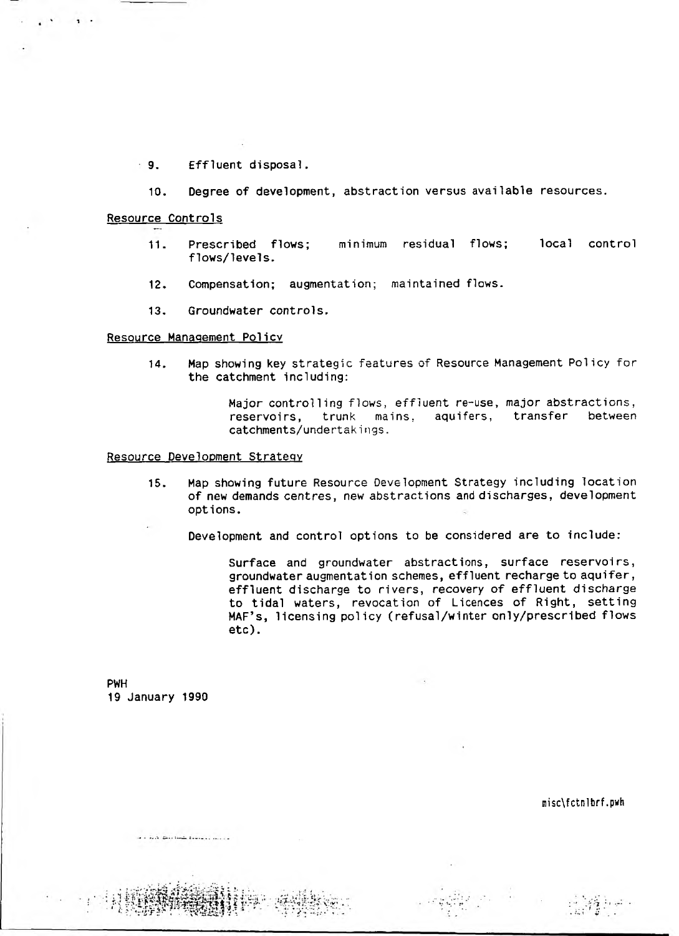- 9. Effluent disposal.
	- 10. Degree of development, abstraction versus available resources.

### Resource Controls

- 11. Prescribed flows; minimum residual flows; local control flows/levels.
- 12. Compensation; augmentation; maintained flows.
- 13. Groundwater controls.

### Resource Management Policy

14. Map showing key strategic features of Resource Management Policy for the catchment including:

> Major controlling flows, effluent re-use, major abstractions, reservoirs, trunk mains, aquifers, transfer between catchments/undertakings.

### Resource Development Strategy

- 15. Map showing future Resource Development Strategy including location of new demands centres, new abstractions and discharges, development options.
	- Development and control options to be considered are to include:

Surface and groundwater abstractions, surface reservoirs, groundwater augmentation schemes, effluent recharge to aquifer, effluent discharge to rivers, recovery of effluent discharge to tidal waters, revocation of Licences of Right, setting MAF's, licensing policy (refusal/winter only/prescribed flows etc).

PWH 19 January 1990

with the A. Distribution desired as soon as

misc\fctnlbrf.pwh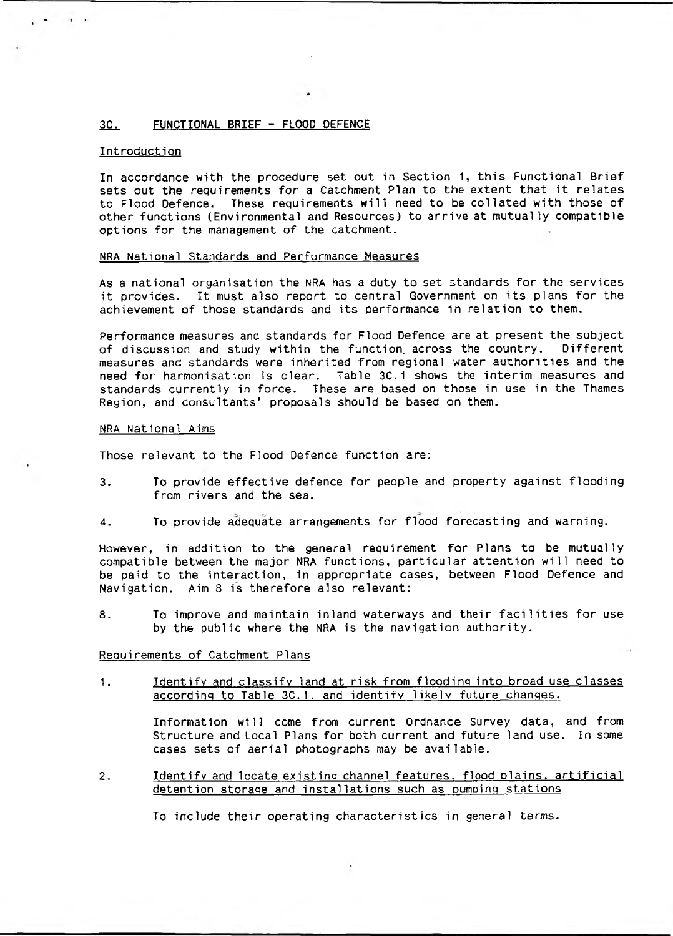### 3C. FUNCTIONAL BRIEF - FLOOD DEFENCE

### **Introduction**

In accordance with the procedure set out in Section 1, this Functional Brief sets out the requirements for a Catchment Plan to the extent that it relates to Flood Defence. These requirements will need to be collated with those of other functions (Environmental and Resources) to arrive at mutually compatible options for the management of the catchment.

### NRA National Standards and Performance Measures

As a national organisation the NRA has a duty to set standards for the services it provides. It must also report to central Government on its plans for the achievement of those standards and its performance in relation to them.

Performance measures and standards for Flood Defence are at present the subject of discussion and study within the function, across the country. Different measures and standards were inherited from regional water authorities and the need for harmonisation is clear. Table 3C.1 shows the interim measures and standards currently in force. These are based on those in use in the Thames Region, and consultants' proposals should be based on them.

#### NRA National Aims

Those relevant to the Flood Defence function are:

- 3. To provide effective defence for people and property against flooding from rivers and the sea.
- 4. To provide adequate arrangements for flood forecasting and warning.

However, in addition to the general requirement for Plans to be mutually compatible between the major NRA functions, particular attention will need to be paid to the interaction, in appropriate cases, between Flood Defence and Navigation. Aim 8 is therefore also relevant:

8. To improve and maintain inland waterways and their facilities for use by the public where the NRA is the navigation authority.

### Requirements of Catchment Plans

1. Identify and classify land at risk from flooding into broad use classes according to Table 3C.1. and identify likely future changes.

> Information will come from current Ordnance Survey data, and from Structure and Local Plans for both current and future land use. In some cases sets of aerial photographs may be available.

2. Identify and locate existing channel features, flood plains, artificial detention storage and installations such as pumping stations

To include their operating characteristics in general terms.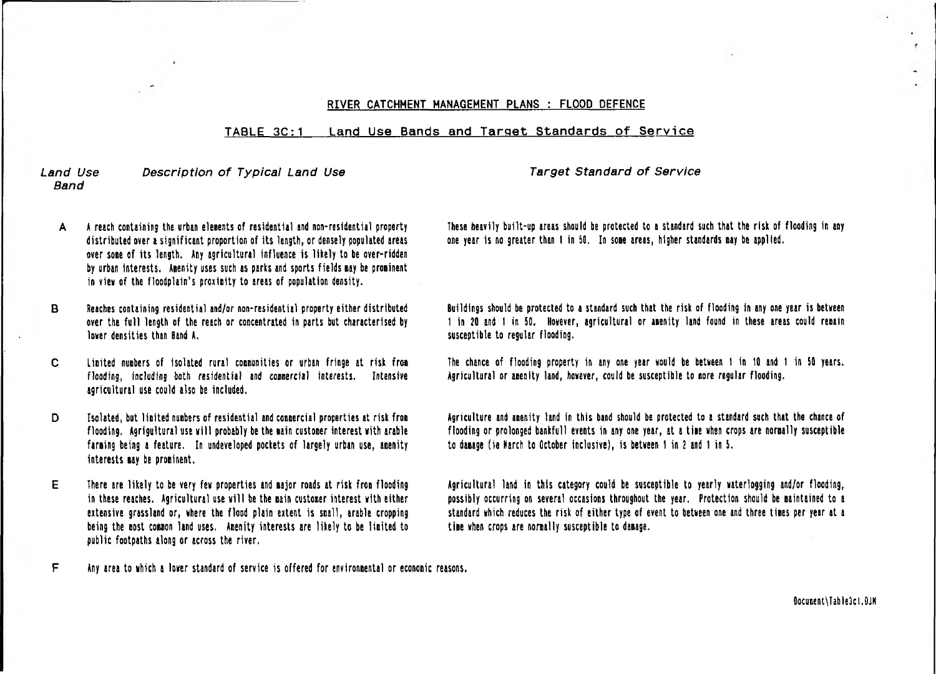### RIVER CATCHMENT MANAGEMENT PLANS : FLOOD DEFENCE

### TABLE 3C:1 Land Use Bands and Target Standards of Service

### *Land Use* Description of Typical Land Use The Target Standard of Service *Band*

- A A reach containing the urban elements of residential and non-residential property distributed over a significant proportion of its length, or densely populated areas over sone of its length. Any agricultural influence is likely to be over-ridden by urban interests. Anenity uses such as parks and sports fields nay be proninent in view of the floodplain's proximity to areas of population density.
- B Reaches containing residential and/or non-residential property either distributed over the full length of the reach or concentrated in parts but characterised by lover densities than Band A.
- C United nunbers of isolated rural connunities or urban fringe at risk froa flooding, including both residential and connercial interests. Intensive agricultural use could also be included.
- D Isolated, but limited numbers of residential and commercial properties at risk from flooding. Agrigultural use will probably be the sain custoner interest with arable farming being a feature. In undeveloped pockets of largely urban use, amenity interests nay be proninent.
- E There are likely to be very feu properties and najor roads at risk fron flooding in these reaches. Agricultural use will be the nain custoner interest with either extensive grassland or, where the flood plain extent is snail, arable cropping being the nost connon land uses. Anenity interests are likely to be linited to public footpaths along or across the river,
- F Any area to which a lower standard of service is offered for environnental or econonic reasons.

These heavily built-up areas should be protected to a standard such that the risk of flooding in any one year is no greater than I in 50. In sone areas, higher standards nay be applied.

Buildings should be protected to a standard such that the risk of flooding in any one year is between 1 in 20 and 1 in 50. However, agricultural or amenity land found in these areas could renain susceptible to regular flooding.

The chance of flooding property in any one year would be between 1 in 10 and I in SO years. Agricultural or amenity land, however, could be susceptible to nore regular flooding.

Agriculture and anenity land in this band should be protected to a standard such that the chance of flooding or prolonged bankfull events in any one year, at a time when crops are normally susceptible to danage (ie March to October inclusive), is between 1 in 2 and 1 in S.

Agricultural land in this category could be susceptible to yearly waterlogging and/or flooding, possibly occurring on several occasions throughout the year. Protection should be naintained to a standard which reduces the risk of either type of event to between one and three tines per year at a tine when crops are nornally susceptible to danage.

flocutent\Table3cl.QJK

 $\epsilon$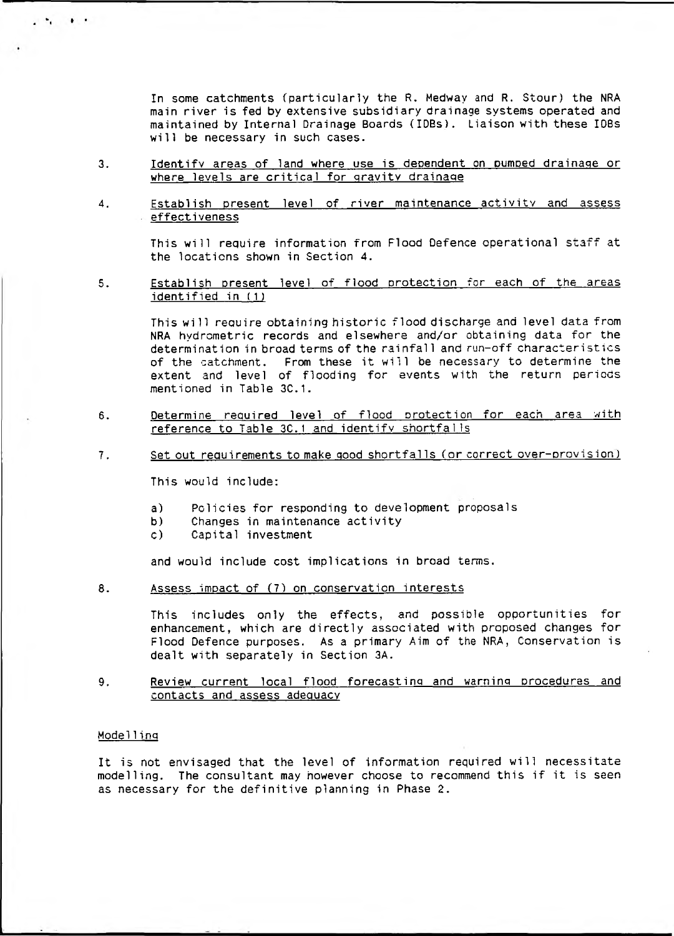In some catchments (particularly the R. Medway and R. Stour) the NRA main river is fed by extensive subsidiary drainage systems operated and maintained by Internal Drainage Boards (IDEs). Liaison with these IOBs will be necessary in such cases.

- 3. Identify areas of land where use is dependent on pumped drainage or where levels are critical for gravity drainage
- 4. Establish present level of river maintenance activity and assess effectiveness

This will require information from Flood Defence operational staff at the locations shown in Section 4.

5. Establish present level of flood protection for each of the areas identified in (1)

> This will reauire obtaining historic flood discharge and level data from NRA hydrometric records and elsewhere and/or obtaining data for the determination in broad terms of the rainfall and run-off characteristics of the catchment. From these it will be necessary to determine the extent and level of flooding for events with the return periods mentioned in Table 3C.1.

- 6. Determine required level of flood protection for each area with reference to Table 3C.1 and identify shortfalls
- 7. Set out requirements to make good shortfalls Cor correct over-provision*)*

This would include:

- a) Policies for responding to development proposals
- b) Changes in maintenance activity
- c) Capital investment

and would include cost implications in broad terms.

8. Assess impact of (7) on conservation interests

This includes only the effects, and possible opportunities for enhancement, which are directly associated with proposed changes for Flood Defence purposes. As a primary Aim of the NRA, Conservation is dealt with separately in Section 3A.

9. Review current local flood forecasting and warning procedures and contacts and assess adequacy

### Model 1ing

It is not envisaged that the level of information required will necessitate modelling. The consultant may however choose to recommend this if it is seen as necessary for the definitive planning in Phase 2.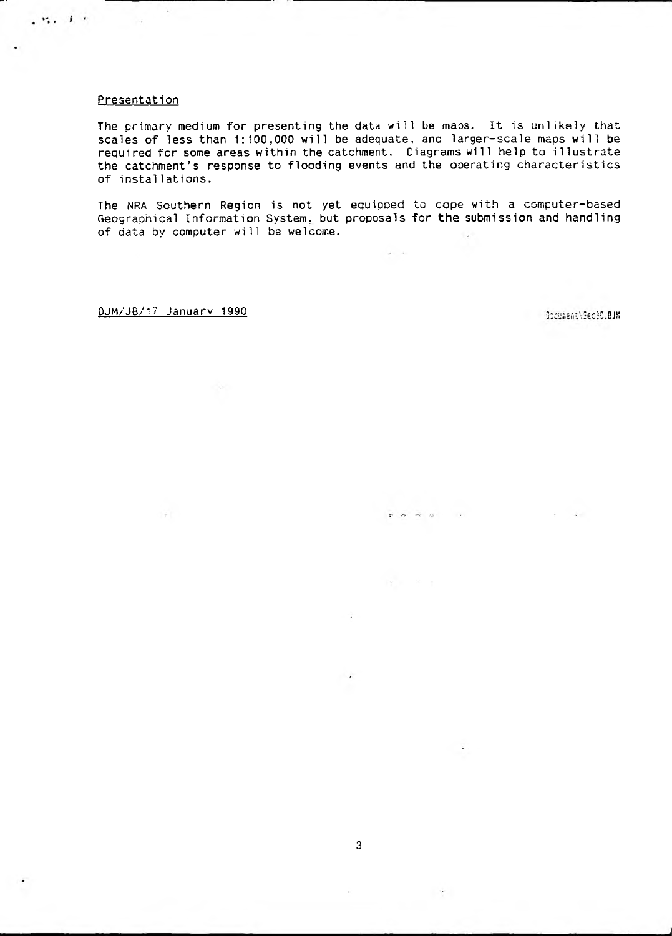#### Presentation

计结构 电光

The primary medium for presenting the data will be maps. It is unlikely that scales of less than 1:100,000 will be adequate, and larger-scale maps will be required for some areas within the catchment. Oiagrams will help to illustrate the catchment's response to flooding events and the operating characteristics of installations.

The NRA Southern Region is not yet equipped to cope with a computer-based Geographical Information System, but proposals for the submission and handling of data by computer will be welcome.

 $\mathfrak{D}^{\mathbb{C}}\cdot\mathfrak{D}^{\mathbb{C}}\cdot\mathfrak{D}^{\mathbb{C}}\cdot\mathfrak{D}^{\mathbb{C}}\cdot\mathfrak{D}^{\mathbb{C}}\cdot\mathfrak{D}^{\mathbb{C}}\cdot\mathfrak{D}^{\mathbb{C}}\cdot\mathfrak{D}^{\mathbb{C}}\cdot\mathfrak{D}^{\mathbb{C}}\cdot\mathfrak{D}^{\mathbb{C}}\cdot\mathfrak{D}^{\mathbb{C}}\cdot\mathfrak{D}^{\mathbb{C}}\cdot\mathfrak{D}^{\mathbb{C}}\cdot\mathfrak{D}^{\mathbb{$ 

DJM/JB/17 January 1990 not all the set of the set of a set of a set of a set of a set of a set of a set of a set of  $\alpha$  is a set of  $\alpha$  is a set of  $\alpha$  is a set of  $\alpha$  is a set of  $\alpha$  is a set of  $\alpha$  is a set of  $\alpha$